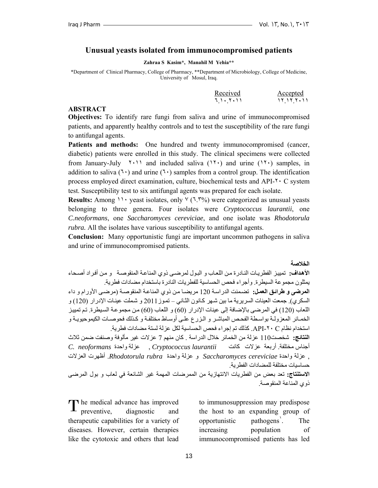### **Unusual yeasts isolated from immunocompromised patients**

**Zahraa S Kasim\*, Manahil M Yehia\*\*** 

\*Department of Clinical Pharmacy, College of Pharmacy, \*\*Department of Microbiology, College of Medicine, University of Mosul, Iraq.

| Received  | Accepted |
|-----------|----------|
| 11. Y. 11 | ,,,,,,,, |

#### **ABSTRACT**

**Objectives:** To identify rare fungi from saliva and urine of immunocompromised patients, and apparently healthy controls and to test the susceptibility of the rare fungi to antifungal agents.

**Patients and methods:** One hundred and twenty immunocompromised (cancer, diabetic) patients were enrolled in this study. The clinical specimens were collected from January-July  $\{1, 1\}$  and included saliva  $(1, 1)$  and urine  $(1, 1)$  samples, in addition to saliva  $(7 \cdot)$  and urine  $(7 \cdot)$  samples from a control group. The identification process employed direct examination, culture, biochemical tests and API-٢٠ C system test. Susceptibility test to six antifungal agents was prepared for each isolate.

**Results:** Among ١١٠ yeast isolates, only ٧ (٦.٣%) were categorized as unusual yeasts belonging to three genera. Four isolates were *Cryptococcus laurantii*, one *C.neoformans*, one *Saccharomyces cereviciae*, and one isolate was *Rhodotorula rubra.* All the isolates have various susceptibility to antifungal agents.

**Conclusion:** Many opportunistic fungi are important uncommon pathogens in saliva and urine of immunocompromised patients.

**الخلاصة**

**الأهداف:** تمييز الفطريات النـادرة من اللعـاب و البـول لمرضـي ذوي المناعـة المنقوصـة و من أفراد أصـحاء يمثلون مجموعة السيطرة. وأجراء فحص الحساسية للفطريات النادرة باستخدام مضادات فطرية. ا**لمرضى و طرائق العمل:** تضمنت الدراسة 120 مريضـا من ذوي المناعـة المنقوصـة (مرضـى الأورام و داء السكري). جمعت العينات السريرية ما بين شـهر كـانون الثـاني – تموز 2011 و شـملت عينـات الإدرار (120) و اللعاب (120) في المرضى بالإضافة إلى عينات الإدرار (60) و اللعاب (60) من مجموعة السيطرة. تم تمييز الخمائر المعزولـة بواسطة الفحص المباشر و الـزرع علـى أوسـاط مختلفـة و كـذلك فحوصـات الكيموحيويـة و استخدام نظام C -٢٠API. آذلك تم إجراء فحص الحساسية لكل عزلة لستة مضادات فطرية. **النتائج:** شخصت110 عزلة من الخمائر خلال الدراسة . آان منهم 7 عزلات غير مألوفة وصنفت ضمن ثلاث أجناس مختلفة. أربعة عزلات آانت *laurantii Cryptococcus* , عزلة واحدة *neoformans .C* , عزلة واحدة *cereviciae Saccharomyces* و عزلة واحدة *rubra Rhodotorula*. أظهرت العزلات حساسيات مختلفة للمضادات الفطرية. **الاستنتاج:** تعد بعض من الفطريات الانتهازية من الممرضات المهمة غير الشائعة في لعاب و بول المرضى

ذوي المناعة المنقوصة.

The medical advance has improved The medical advance has improved<br>preventive, diagnostic and therapeutic capabilities for a variety of diseases. However, certain therapies like the cytotoxic and others that lead

to immunosuppression may predispose the host to an expanding group of opportunistic pathogens<sup>'</sup>. . The increasing population of immunocompromised patients has led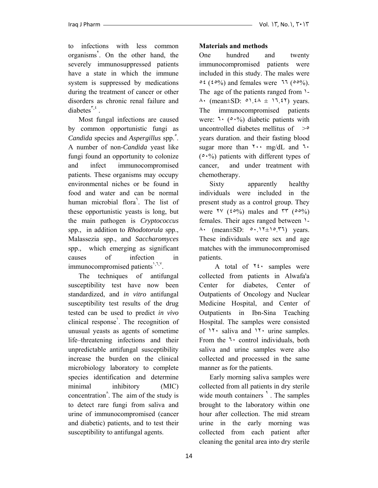to infections with less common organisms<sup>7</sup>. On the other hand, the severely immunosuppressed patients have a state in which the immune system is suppressed by medications during the treatment of cancer or other disorders as chronic renal failure and diabetes<sup> $\zeta$ *,* $\zeta$ </sup>.

 Most fungal infections are caused by common opportunistic fungi as *Candida* species and *Aspergillus* spp.<sup>2</sup>. A number of non-*Candida* yeast like fungi found an opportunity to colonize and infect immunocompromised patients. These organisms may occupy environmental niches or be found in food and water and can be normal human microbial flora<sup>7</sup>. The list of these opportunistic yeasts is long, but the main pathogen is *Cryptococcus* spp., in addition to *Rhodotorula* spp., Malassezia spp., and *Saccharomyces* spp., which emerging as significant causes of infection in immunocompromised patients<sup>1,7,y</sup>.

 The techniques of antifungal susceptibility test have now been standardized, and *in vitro* antifungal susceptibility test results of the drug tested can be used to predict *in vivo* clinical response<sup>'</sup>. The recognition of unusual yeasts as agents of sometime life–threatening infections and their unpredictable antifungal susceptibility increase the burden on the clinical microbiology laboratory to complete species identification and determine minimal inhibitory (MIC) concentration<sup> $\land$ </sup>. The aim of the study is to detect rare fungi from saliva and urine of immunocompromised (cancer and diabetic) patients, and to test their susceptibility to antifungal agents.

## **Materials and methods**

One hundred and twenty immunocompromised patients were included in this study. The males were  $\circ \xi$  ( $\dot{\xi} \circ \frac{0}{0}$ ) and females were  $\pi \xi$  ( $\circ \dot{\phi}$ ). The age of the patients ranged from  $\lambda$ - $\lambda$  (mean±SD:  $\circ$ ).  $\xi \lambda \pm 17.57$ ) years. The immunocompromised patients were:  $1 \cdot (0.0\%)$  diabetic patients with uncontrolled diabetes mellitus of  $>0$ years duration. and their fasting blood sugar more than  $\gamma \cdot \cdot$  mg/dL and  $\gamma \cdot$  $(0.06)$  patients with different types of cancer, and under treatment with chemotherapy.

Sixty apparently healthy individuals were included in the present study as a control group. They were  $\forall y \ (\text{mod} \ \text{mass and } \forall \forall \ (\text{mod} \%)$ females. Their ages ranged between ١- ٨٠ (mean±SD: ٥٠.١٢±١٥.٣٦) years. These individuals were sex and age matches with the immunocompromised patients.

A total of  $\forall$  *i* samples were collected from patients in Alwafa'a Center for diabetes, Center of Outpatients of Oncology and Nuclear Medicine Hospital, and Center of Outpatients in Ibn-Sina Teaching Hospital. The samples were consisted of ١٢٠ saliva and ١٢٠ urine samples. From the ٦٠ control individuals, both saliva and urine samples were also collected and processed in the same manner as for the patients.

 Early morning saliva samples were collected from all patients in dry sterile wide mouth containers<sup>1</sup>. The samples brought to the laboratory within one hour after collection. The mid stream urine in the early morning was collected from each patient after cleaning the genital area into dry sterile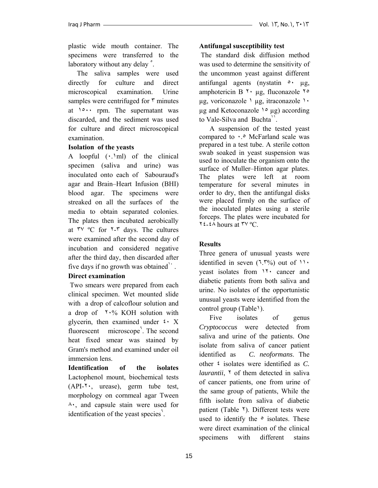plastic wide mouth container. The specimens were transferred to the laboratory without any delay<sup>°</sup>.

 The saliva samples were used directly for culture and direct microscopical examination. Urine samples were centrifuged for  $\frac{9}{10}$  minutes at ١٥٠٠ rpm. The supernatant was discarded, and the sediment was used for culture and direct microscopical examination.

#### **Isolation of the yeasts**

A loopful  $(\cdot, \text{'ml})$  of the clinical specimen (saliva and urine) was inoculated onto each of Sabouraud's agar and Brain–Heart Infusion (BHI) blood agar. The specimens were streaked on all the surfaces of the media to obtain separated colonies. The plates then incubated aerobically at ٣٧ ºC for ٢-٣ days. The cultures were examined after the second day of incubation and considered negative after the third day, then discarded after five days if no growth was obtained<sup> $\cdot$ </sup>.

## **Direct examination**

Two smears were prepared from each clinical specimen. Wet mounted slide with a drop of calcoflour solution and a drop of  $\sqrt{6}$  KOH solution with glycerin, then examined under  $\mathfrak{c} \cdot X$ fluorescent microscope<sup>7</sup>. The second heat fixed smear was stained by Gram's method and examined under oil immersion lens.

**Identification of the isolates** Lactophenol mount, biochemical tests (API-٢٠, urease), germ tube test, morphology on cornmeal agar Tween ٨٠, and capsule stain were used for identification of the yeast species<sup>7</sup>.

## **Antifungal susceptibility test**

The standard disk diffusion method was used to determine the sensitivity of the uncommon yeast against different antifungal agents (nystatin  $\circ \cdot \mu$ g, amphotericin  $B \rightarrow \mu g$ , fluconazole  $\gamma \circ$ µg, voriconazole ١ µg, itraconazole ١٠  $\mu$ g and Ketoconazole  $\lambda$ °  $\mu$ g) according to Vale-Silva and Buchta<sup>11</sup>.

 A suspension of the tested yeast compared to ٠.٥ McFarland scale was prepared in a test tube. A sterile cotton swab soaked in yeast suspension was used to inoculate the organism onto the surface of Muller–Hinton agar plates. The plates were left at room temperature for several minutes in order to dry, then the antifungal disks were placed firmly on the surface of the inoculated plates using a sterile forceps. The plates were incubated for ٢٤-٤٨ hours at ٣٧ ºC.

## **Results**

Three genera of unusual yeasts were identified in seven  $(1.7\%)$  out of  $11.7\%$ yeast isolates from ١٢٠ cancer and diabetic patients from both saliva and urine. No isolates of the opportunistic unusual yeasts were identified from the control group (Table<sup>1</sup>).

Five isolates of genus *Cryptococcus* were detected from saliva and urine of the patients. One isolate from saliva of cancer patient identified as *C. neoformans*. The other ٤ isolates were identified as *C. laurantii*,  $\gamma$  of them detected in saliva of cancer patients, one from urine of the same group of patients, While the fifth isolate from saliva of diabetic patient (Table  $\lambda$ ). Different tests were used to identify the  $\circ$  isolates. These were direct examination of the clinical specimens with different stains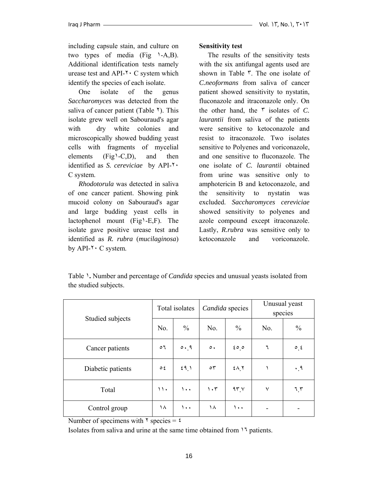including capsule stain, and culture on two types of media (Fig  $\rightarrow A,B$ ). Additional identification tests namely urease test and  $API-<sup>†</sup> C$  system which identify the species of each isolate.

 One isolate of the genus *Saccharomyces* was detected from the saliva of cancer patient (Table  $\lambda$ ). This isolate grew well on Sabouraud's agar with dry white colonies and microscopically showed budding yeast cells with fragments of mycelial elements  $(Fig'\text{-}C,D)$ , and then identified as *S. cereviciae* by API-٢٠ C system.

 *Rhodotorula* was detected in saliva of one cancer patient. Showing pink mucoid colony on Sabouraud's agar and large budding yeast cells in lactophenol mount (Fig١-E,F). The isolate gave positive urease test and identified as *R. rubra* (*mucilaginosa*) by API-٢٠ C system.

# **Sensitivity test**

 The results of the sensitivity tests with the six antifungal agents used are shown in Table ٣. The one isolate of *C.neoformans* from saliva of cancer patient showed sensitivity to nystatin, fluconazole and itraconazole only. On the other hand, the ٣ isolates of *C. laurantii* from saliva of the patients were sensitive to ketoconazole and resist to itraconazole. Two isolates sensitive to Polyenes and voriconazole, and one sensitive to fluconazole. The one isolate of *C. laurantii* obtained from urine was sensitive only to amphotericin B and ketoconazole, and the sensitivity to nystatin was excluded. *Saccharomyces cereviciae* showed sensitivity to polyenes and azole compound except itraconazole. Lastly, *R.rubra* was sensitive only to ketoconazole and voriconazole.

Table ١**.** Number and percentage of *Candida* species and unusual yeasts isolated from the studied subjects.

| Studied subjects  |               | Total isolates |                                 | Candida species | Unusual yeast<br>species |               |  |
|-------------------|---------------|----------------|---------------------------------|-----------------|--------------------------|---------------|--|
|                   | No.           | $\frac{0}{0}$  | No.                             | $\frac{0}{0}$   | No.                      | $\frac{0}{0}$ |  |
| Cancer patients   | $\circ$       | 0.9            | $\circ$ .                       | 600             | ٦                        | $\circ$ $\xi$ |  |
| Diabetic patients | $\circ$ {     | 59.1           | $\circ$                         | $2\Lambda$      |                          | $\cdot$ , 9   |  |
| Total             | $\mathcal{U}$ | $\cdots$       | $\mathcal{N} \cdot \mathcal{N}$ | 95.4            | $\checkmark$             | 7.7           |  |
| Control group     | ۱۸            | $\cdots$       | ۱۸                              | ۱۰۰             |                          |               |  |

Number of specimens with  $\gamma$  species =  $\epsilon$ 

Isolates from saliva and urine at the same time obtained from ١٦ patients.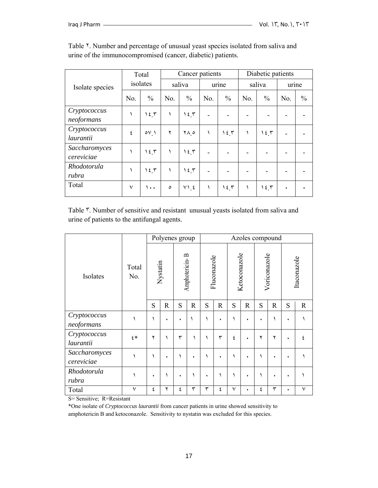|                             | Total        |               |         | Cancer patients |       |               | Diabetic patients |               |       |               |
|-----------------------------|--------------|---------------|---------|-----------------|-------|---------------|-------------------|---------------|-------|---------------|
| Isolate species             | isolates     |               | saliva  |                 | urine |               | saliva            |               | urine |               |
|                             | No.          | $\frac{0}{0}$ | No.     | $\frac{0}{0}$   | No.   | $\frac{0}{0}$ | No.               | $\frac{0}{0}$ | No.   | $\frac{0}{0}$ |
| Cryptococcus<br>neoformans  |              | 12.5          |         | 12.5            |       |               |                   |               |       |               |
| Cryptococcus<br>laurantii   | ٤            | $o_{V}$       | ۲       | ۰۸ م            |       | 12.5          |                   | 12.7          |       |               |
| Saccharomyces<br>cereviciae |              | 15.7          |         | 15.7            |       |               |                   |               |       |               |
| Rhodotorula<br>rubra        |              | 12.5          |         | 15.5            |       |               |                   |               |       |               |
| Total                       | $\checkmark$ | ۰.۱           | $\circ$ | V1, 2           |       | 15.7          |                   | ۱٤٣           | ٠     |               |

Table <sup>Y</sup>. Number and percentage of unusual yeast species isolated from saliva and urine of the immunocompromised (cancer, diabetic) patients.

Table ٣. Number of sensitive and resistant unusual yeasts isolated from saliva and urine of patients to the antifungal agents.

|                                                 | Total<br>No.                         | Polyenes group |             |                |             | Azoles compound |             |              |             |              |             |             |             |
|-------------------------------------------------|--------------------------------------|----------------|-------------|----------------|-------------|-----------------|-------------|--------------|-------------|--------------|-------------|-------------|-------------|
| Isolates                                        |                                      | Nystatin       |             | Amphotericin-B |             | Fluconazole     |             | Ketoconazole |             | Voriconazole |             | Itaconazole |             |
|                                                 |                                      | S              | $\mathbf R$ | S              | $\mathbf R$ | S               | $\mathbf R$ | S            | $\mathbf R$ | S            | $\mathbf R$ | S           | $\mathbf R$ |
| Cryptococcus<br>neoformans                      |                                      | ١              | ٠           | ٠              |             |                 | ٠           |              | ٠           |              |             | ٠           |             |
| Cryptococcus<br>laurantii                       | $\epsilon *$                         | ۲              | ١           | ٣              |             |                 | ٣           | ٤            | ٠           | ۲            | ۲           | ٠           | ٤           |
| Saccharomyces<br>cereviciae                     |                                      | ١              | ٠           | ١              | ٠           |                 | ٠           |              | ٠           |              |             | ٠           |             |
| Rhodotorula<br>rubra                            |                                      | ٠              |             | ٠              |             | ٠               |             |              | ٠           |              | ٠           | ٠           |             |
| Total<br>$\cdot$ .<br>n, n<br>$\alpha$ $\alpha$ | $\checkmark$<br>$\sim$ $\sim$ $\sim$ | ٤              | ۲           | ٤              | ٣           | ٣               | ٤           | $\checkmark$ |             | ٤            | ٣           | ٠           | ٧           |

S= Sensitive; R=Resistant

\*One isolate of *Cryptococcus laurantii* from cancer patients in urine showed sensitivity to amphotericin B and ketoconazole. Sensitivity to nystatin was excluded for this species.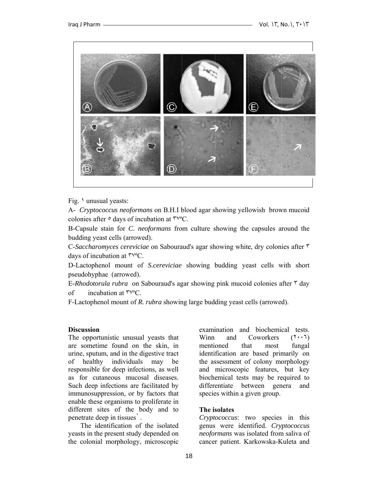

Fig. 1 unusual yeasts:

A- *Cryptococcus neoformans* on B.H.I blood agar showing yellowish brown mucoid colonies after  $\circ$  days of incubation at  $\mathsf{ryc}$ .

B-Capsule stain for *C. neoformans* from culture showing the capsules around the budding yeast cells (arrowed).

C-Saccharomyces cereviciae on Sabouraud's agar showing white, dry colonies after ٣ days of incubation at  $\mathsf{ryc}$ .

D-Lactophenol mount of *S.cereviciae* showing budding yeast cells with short pseud dohyphae (a arrowed).

E-Rhodotorula rubra on Sabouraud's agar showing pink mucoid colonies after r day of incubation at  $\mathsf{ryc}$ .

F-Lactophenol mount of *R. rubra* showing large budding yeast cells (arrowed).

#### **Discussion**

The opportunistic unusual yeasts that are sometime found on the skin, in urine, sputum, and in the digestive tract of healthy in responsible for deep infections, as well as for cutaneous mucosal diseases. Such deep infections are facilitated by immunosuppression, or by factors that enable these organisms to proliferate in different sites of the body and to penetrate deep in tissues<sup>'</sup>. ndividuals may be

The identification of the isolated yeasts in the present study depended on the colonial morphology, microscopic

examination and biochemical tests. Winn mentioned tha identification are based primarily on the assessment of colony morphology and m microscopic c features, but key biochemical tests may be required to differentiate between genera and species within a given group. and Coworkers that most  $(7 \cdot 7)$ fungal

#### **The is solates**

Cryptococcus: two species in this genus were identified. Cryptococcus neoformans was isolated from saliva of cancer patient. Karkowska-Kuleta and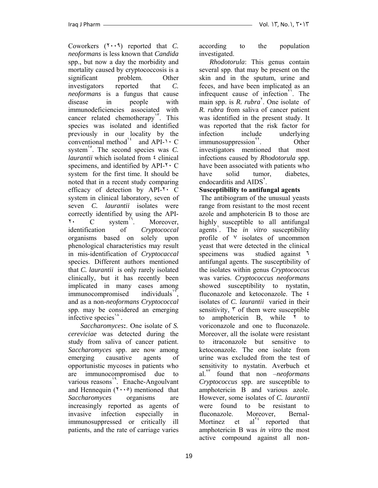Coworkers (٢٠٠٩) reported that *C. neoformans* is less known that *Candida*  spp., but now a day the morbidity and mortality caused by cryptococcosis is a significant problem. Other investigators reported that *C. neoformans* is a fungus that cause disease in people with immunodeficiencies associated with cancer related chemotherapy<sup>11</sup>. This species was isolated and identified previously in our locality by the conventional method<sup>14</sup> and API-1  $\cdot$  C system<sup>1°</sup>. The second species was *C*. *laurantii* which isolated from  $\epsilon$  clinical specimens, and identified by  $API-\gamma \cdot C$ system for the first time. It should be noted that in a recent study comparing efficacy of detection by API-٢٠ C system in clinical laboratory, seven of seven *C. laurantii* isolates were correctly identified by using the API-7. C system<sup>11</sup>. Moreover, identification of *Cryptococcal* organisms based on solely upon phenological characteristics may result in mis-identification of *Cryptocaccal* species. Different authors mentioned that *C. laurantii* is only rarely isolated clinically, but it has recently been implicated in many cases among  $immunocompromised$  individuals<sup> $y$ </sup>, and as a non-*neoformans Cryptococcal* spp. may be considered an emerging infective species<sup>14</sup>.

 *Saccharomyces***:**. One isolate of *S. cereviciae* was detected during the study from saliva of cancer patient. *Saccharomyces* spp. are now among emerging causative agents of opportunistic mycoses in patients who are immunocompromised due to various reasons<sup>19</sup>. Enache-Angoulvant and Hennequin  $(1 \cdot \cdot \circ)$  mentioned that *Saccharomyces* organisms are increasingly reported as agents of invasive infection especially in immunosuppressed or critically ill patients, and the rate of carriage varies

according to the population investigated.

 *Rhodotorula*: This genus contain several spp. that may be present on the skin and in the sputum, urine and feces, and have been implicated as an infrequent cause of infection<sup>1</sup>. The main spp. is *R. rubra*<sup>'</sup>. One isolate of *R. rubra* from saliva of cancer patient was identified in the present study. It was reported that the risk factor for infection include underlying immunosuppression<sup>11</sup>. Other investigators mentioned that most infections caused by *Rhodotorula* spp. have been associated with patients who have solid tumor, diabetes, endocarditis and AIDS<sup>'</sup>.

## **Susceptibility to antifungal agents**

 The antibiogram of the unusual yeasts range from resistant to the most recent azole and amphotericin B to those are highly susceptible to all antifungal agents<sup>'</sup>. The *in vitro* susceptibility profile of  $\vee$  isolates of uncommon yeast that were detected in the clinical specimens was studied against ٦ antifungal agents. The susceptibility of the isolates within genus *Cryptococcus*  was varies. *Cryptococcus neoformans*  showed susceptibility to nystatin, fluconazole and ketoconazole. The ٤ isolates of *C. laurantii* varied in their sensitivity,  $\mathbf{\tilde{r}}$  of them were susceptible to amphotericin B, while ٢ to voriconazole and one to fluconazole. Moreover, all the isolate were resistant to itraconazole but sensitive ketoconazole. The one isolate from urine was excluded from the test of sensitivity to nystatin. Averbuch et al.<sup>٢٣</sup> found that non –*neoformans Cryptococcus* spp. are susceptible to amphotericin B and various azole. However, some isolates of *C. laurantii* were found to be resistant to fluconazole. Moreover, Bernal-Mortinez et  $al^{\gamma t}$  reported that amphotericin B was *in vitro* the most active compound against all non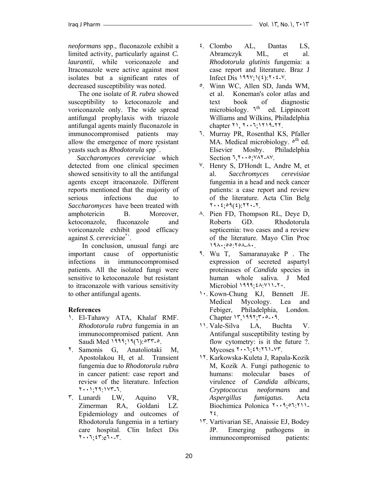*neoformans* spp., fluconazole exhibit a limited activity, particularly against *C. laurantii*, while voriconazole and Itraconazole were active against most isolates but a significant rates of decreased susceptibility was noted.

 The one isolate of *R. rubra* showed susceptibility to ketoconazole and voriconazole only. The wide spread antifungal prophylaxis with triazole antifungal agents mainly fluconazole in immunocompromised patients may allow the emergence of more resistant yeasts such as *Rhodotorula* spp<sup>r</sup>.

 *Saccharomyces cereviciae* which detected from one clinical specimen showed sensitivity to all the antifungal agents except itraconazole. Different reports mentioned that the majority of serious infections due to *Saccharomyces* have been treated with amphotericin B. Moreover, ketoconazole, fluconazole and voriconazole exhibit good efficacy against *S. cereviciae*<sup>1</sup>.

 In conclusion, unusual fungi are important cause of opportunistic infections in immunocompromised patients. All the isolated fungi were sensitive to ketoconazole but resistant to itraconazole with various sensitivity to other antifungal agents.

### **References**

- ١. El-Tahawy ATA, Khalaf RMF. *Rhodotorula rubra* fungemia in an immunocompromised patient. Ann Saudi Med ١٩٩٩;١٩(٦):٥٣٣-٥.
- ٢. Samonis G, Anatoliotaki M, Apostolakou H, et al. Transient fungemia due to *Rhodotorula rubra* in cancer patient: case report and review of the literature. Infection ٢٠٠١;٢٩:١٧٣-٦.
- ٣. Lunardi LW, Aquino VR, Zimerman RA, Goldani LZ*.*  Epidemiology and outcomes of Rhodotorula fungemia in a tertiary care hospital. Clin Infect Dis ٢٠٠٦;٤٣:e٦٠-٣.
- ٤. Clombo AL, Dantas LS, Abramczyk ML, et al. *Rhodotorula glutinis* fungemia: a case report and literature. Braz J Infect Dis  $199\frac{y}{1}(2)$ :  $7 \cdot 2 \cdot 1$ .
- ٥. Winn WC, Allen SD, Janda WM, et al. Koneman's color atlas and text book of diagnostic microbiology.  $\tau^{th}$  ed. Lippincott Williams and Wilkins, Philadelphia chapter ٢١, ٢٠٠٦;١٢١٩-٢٢.
- ٦. Murray PR, Rosenthal KS, Pfaller MA. Medical microbiology.  $\circ$ <sup>th</sup> ed. Elsevier Mosby. Philadelphia Section ٦,٢٠٠٥;٧٨٢-٨٧.
- ٧. Henry S, D'Hondt L, Andre M, et al. *Sacchromyces cerevisiae* fungemia in a head and neck cancer patients: a case report and review of the literature. Acta Clin Belg ٢٠٠٤;٥٩(٤):٢٢٠-٢.
- ٨. Pien FD, Thompson RL, Deye D, Roberts GD. Rhodotorula septicemia: two cases and a review of the literature. Mayo Clin Proc ١٩٨٠;٥٥:٢٥٨-٨٠.
- ٩. Wu T, Samaranayake P . The expression of secreted aspartyl proteinases of *Candida* species in human whole saliva. J Med Microbiol ١٩٩٩; ٤٨: ٧١١-٢٠.
- ١٠. Kown-Chung KJ, Bennett JE. Medical Mycology. Lea and Febiger, Philadelphia, London. Chapter ١٣,١٩٩٢;٣٠٥-٠٩.
- ١١. Vale-Silva LA, Buchta V. Antifungal susceptibility testing by flow cytometry: is it the future ?. Mycoses ٢٠٠٦;٤٩:٢٦١-٧٣.
- ١٢. Karkowska-Kuleta J, Rapala-Kozik M, Kozik A. Fungi pathogenic to humans: molecular bases of virulence of *Candida albicans*, *Cryptococcus neoformans* and *Aspergillus fumigatus*. Acta Biochimica Polonica  $1 \cdot 1 \cdot 2 \cdot 5 \cdot 7 \cdot 1$ ٢٤.
- ١٣. Vartivarian SE, Anaissie EJ, Bodey JP. Emerging pathogens in immunocompromised patients: